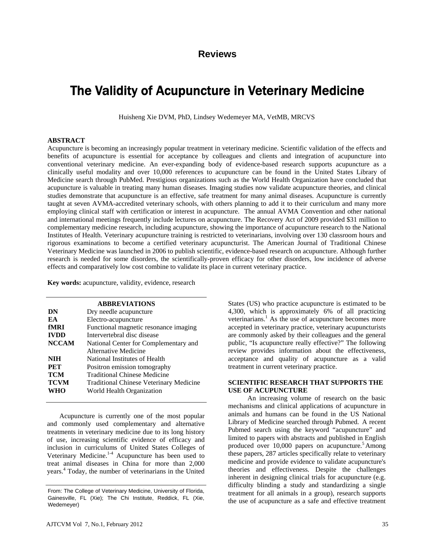# **Reviews**

# The Validity of Acupuncture in Veterinary Medicine

Huisheng Xie DVM, PhD, Lindsey Wedemeyer MA, VetMB, MRCVS

#### **ABSTRACT**

Acupuncture is becoming an increasingly popular treatment in veterinary medicine. Scientific validation of the effects and benefits of acupuncture is essential for acceptance by colleagues and clients and integration of acupuncture into conventional veterinary medicine. An ever-expanding body of evidence-based research supports acupuncture as a clinically useful modality and over 10,000 references to acupuncture can be found in the United States Library of Medicine search through PubMed. Prestigious organizations such as the World Health Organization have concluded that acupuncture is valuable in treating many human diseases. Imaging studies now validate acupuncture theories, and clinical studies demonstrate that acupuncture is an effective, safe treatment for many animal diseases. Acupuncture is currently taught at seven AVMA-accredited veterinary schools, with others planning to add it to their curriculum and many more employing clinical staff with certification or interest in acupuncture. The annual AVMA Convention and other national and international meetings frequently include lectures on acupuncture. The Recovery Act of 2009 provided \$31 million to complementary medicine research, including acupuncture, showing the importance of acupuncture research to the National Institutes of Health. Veterinary acupuncture training is restricted to veterinarians, involving over 130 classroom hours and rigorous examinations to become a certified veterinary acupuncturist. The American Journal of Traditional Chinese Veterinary Medicine was launched in 2006 to publish scientific, evidence-based research on acupuncture. Although further research is needed for some disorders, the scientifically-proven efficacy for other disorders, low incidence of adverse effects and comparatively low cost combine to validate its place in current veterinary practice.

**Key words:** acupuncture, validity, evidence, research

|              | <b>ABBREVIATIONS</b>                           |
|--------------|------------------------------------------------|
| DN           | Dry needle acupuncture                         |
| EA           | Electro-acupuncture                            |
| fMRI         | Functional magnetic resonance imaging          |
| <b>IVDD</b>  | Intervertebral disc disease                    |
| <b>NCCAM</b> | National Center for Complementary and          |
|              | Alternative Medicine                           |
| <b>NIH</b>   | National Institutes of Health                  |
| <b>PET</b>   | Positron emission tomography                   |
| <b>TCM</b>   | <b>Traditional Chinese Medicine</b>            |
| <b>TCVM</b>  | <b>Traditional Chinese Veterinary Medicine</b> |
| WHO          | World Health Organization                      |

Acupuncture is currently one of the most popular and commonly used complementary and alternative treatments in veterinary medicine due to its long history of use, increasing scientific evidence of efficacy and inclusion in curriculums of United States Colleges of Veterinary Medicine.<sup>1-4</sup> Acupuncture has been used to treat animal diseases in China for more than 2,000 years.<sup>4</sup> Today, the number of veterinarians in the United States (US) who practice acupuncture is estimated to be 4,300, which is approximately 6% of all practicing veterinarians.<sup>1</sup> As the use of acupuncture becomes more accepted in veterinary practice, veterinary acupuncturists are commonly asked by their colleagues and the general public, "Is acupuncture really effective?" The following review provides information about the effectiveness, acceptance and quality of acupuncture as a valid treatment in current veterinary practice.

#### **SCIENTIFIC RESEARCH THAT SUPPORTS THE USE OF ACUPUNCTURE**

 An increasing volume of research on the basic mechanisms and clinical applications of acupuncture in animals and humans can be found in the US National Library of Medicine searched through Pubmed. A recent Pubmed search using the keyword "acupuncture" and limited to papers with abstracts and published in English produced over  $10,000$  papers on acupuncture.<sup>5</sup> Among these papers, 287 articles specifically relate to veterinary medicine and provide evidence to validate acupuncture's theories and effectiveness. Despite the challenges inherent in designing clinical trials for acupuncture (e.g. difficulty blinding a study and standardizing a single treatment for all animals in a group), research supports the use of acupuncture as a safe and effective treatment

From: The College of Veterinary Medicine, University of Florida, Gainesville, FL (Xie); The Chi Institute, Reddick, FL (Xie, Wedemeyer)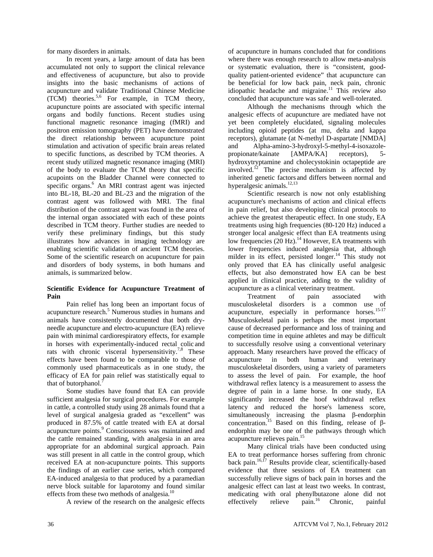for many disorders in animals.

 In recent years, a large amount of data has been accumulated not only to support the clinical relevance and effectiveness of acupuncture, but also to provide insights into the basic mechanisms of actions of acupuncture and validate Traditional Chinese Medicine (TCM) theories.5,6 For example, in TCM theory, acupuncture points are associated with specific internal organs and bodily functions. Recent studies using functional magnetic resonance imaging (fMRI) and positron emission tomography (PET) have demonstrated the direct relationship between acupuncture point stimulation and activation of specific brain areas related to specific functions, as described by TCM theories. A recent study utilized magnetic resonance imaging (MRI) of the body to evaluate the TCM theory that specific acupoints on the Bladder Channel were connected to specific organs.<sup>6</sup> An MRI contrast agent was injected into BL-18, BL-20 and BL-23 and the migration of the contrast agent was followed with MRI. The final distribution of the contrast agent was found in the area of the internal organ associated with each of these points described in TCM theory. Further studies are needed to verify these preliminary findings, but this study illustrates how advances in imaging technology are enabling scientific validation of ancient TCM theories. Some of the scientific research on acupuncture for pain and disorders of body systems, in both humans and animals, is summarized below.

#### **Scientific Evidence for Acupuncture Treatment of Pain**

 Pain relief has long been an important focus of acupuncture research.<sup>5</sup> Numerous studies in humans and animals have consistently documented that both dryneedle acupuncture and electro-acupuncture (EA) relieve pain with minimal cardiorespiratory effects, for example in horses with experimentally-induced rectal colic and rats with chronic visceral hypersensitivity.<sup>7,8</sup> These effects have been found to be comparable to those of commonly used pharmaceuticals as in one study, the efficacy of EA for pain relief was statistically equal to that of butorphanol.<sup>7</sup>

 Some studies have found that EA can provide sufficient analgesia for surgical procedures. For example in cattle, a controlled study using 28 animals found that a level of surgical analgesia graded as "excellent" was produced in 87.5% of cattle treated with EA at dorsal acupuncture points.<sup>9</sup> Consciousness was maintained and the cattle remained standing, with analgesia in an area appropriate for an abdominal surgical approach. Pain was still present in all cattle in the control group, which received EA at non-acupuncture points. This supports the findings of an earlier case series, which compared EA-induced analgesia to that produced by a paramedian nerve block suitable for laparotomy and found similar effects from these two methods of analgesia.<sup>10</sup>

A review of the research on the analgesic effects

of acupuncture in humans concluded that for conditions where there was enough research to allow meta-analysis or systematic evaluation, there is "consistent, goodquality patient-oriented evidence" that acupuncture can be beneficial for low back pain, neck pain, chronic idiopathic headache and migraine. $11$  This review also concluded that acupuncture was safe and well-tolerated.

 Although the mechanisms through which the analgesic effects of acupuncture are mediated have not yet been completely elucidated, signaling molecules including opioid peptides (at mu, delta and kappa receptors), glutamate (at N-methyl D-aspartate [NMDA] and Alpha-amino-3-hydroxyl-5-methyl-4-isoxazolepropionate/kainate [AMPA/KA] receptors), 5 hydroxytryptamine and cholecystokinin octapeptide are involved.12 The precise mechanism is affected by inherited genetic factors and differs between normal and hyperalgesic animals.<sup>12,13</sup>

 Scientific research is now not only establishing acupuncture's mechanisms of action and clinical effects in pain relief, but also developing clinical protocols to achieve the greatest therapeutic effect. In one study, EA treatments using high frequencies (80-120 Hz) induced a stronger local analgesic effect than EA treatments using low frequencies (20 Hz).<sup>14</sup> However, EA treatments with lower frequencies induced analgesia that, although milder in its effect, persisted longer.<sup>14</sup> This study not only proved that EA has clinically useful analgesic effects, but also demonstrated how EA can be best applied in clinical practice, adding to the validity of acupuncture as a clinical veterinary treatment.

 Treatment of pain associated with musculoskeletal disorders is a common use of acupuncture, especially in performance horses.<sup>15-17</sup> Musculoskeletal pain is perhaps the most important cause of decreased performance and loss of training and competition time in equine athletes and may be difficult to successfully resolve using a conventional veterinary approach. Many researchers have proved the efficacy of acupuncture in both human and veterinary musculoskeletal disorders, using a variety of parameters to assess the level of pain. For example, the hoof withdrawal reflex latency is a measurement to assess the degree of pain in a lame horse. In one study, EA significantly increased the hoof withdrawal reflex latency and reduced the horse's lameness score, simultaneously increasing the plasma β-endorphin concentration.15 Based on this finding, release of βendorphin may be one of the pathways through which acupuncture relieves pain.<sup>15</sup>

 Many clinical trials have been conducted using EA to treat performance horses suffering from chronic back pain.<sup>16,17</sup> Results provide clear, scientifically-based evidence that three sessions of EA treatment can successfully relieve signs of back pain in horses and the analgesic effect can last at least two weeks. In contrast, medicating with oral phenylbutazone alone did not effectively relieve pain.<sup>16</sup> Chronic, painful effectively relieve  $\text{pain.}^{16}$  Chronic, painful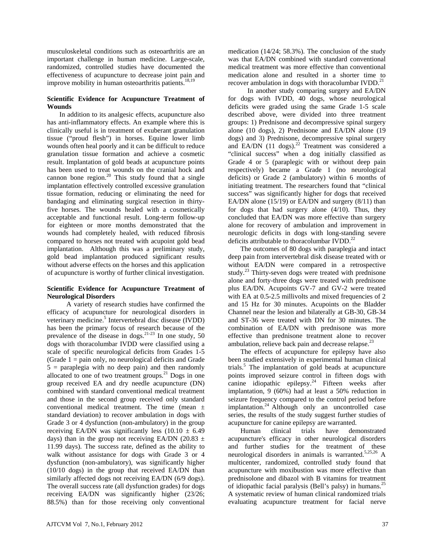musculoskeletal conditions such as osteoarthritis are an important challenge in human medicine. Large-scale, randomized, controlled studies have documented the effectiveness of acupuncture to decrease joint pain and improve mobility in human osteoarthritis patients.<sup>18,19</sup>

#### **Scientific Evidence for Acupuncture Treatment of Wounds**

In addition to its analgesic effects, acupuncture also has anti-inflammatory effects. An example where this is clinically useful is in treatment of exuberant granulation tissue ("proud flesh") in horses. Equine lower limb wounds often heal poorly and it can be difficult to reduce granulation tissue formation and achieve a cosmetic result. Implantation of gold beads at acupuncture points has been used to treat wounds on the cranial hock and cannon bone region. $20$  This study found that a single implantation effectively controlled excessive granulation tissue formation, reducing or eliminating the need for bandaging and eliminating surgical resection in thirtyfive horses. The wounds healed with a cosmetically acceptable and functional result. Long-term follow-up for eighteen or more months demonstrated that the wounds had completely healed, with reduced fibrosis compared to horses not treated with acupoint gold bead implantation. Although this was a preliminary study, gold bead implantation produced significant results without adverse effects on the horses and this application of acupuncture is worthy of further clinical investigation.

#### **Scientific Evidence for Acupuncture Treatment of Neurological Disorders**

 A variety of research studies have confirmed the efficacy of acupuncture for neurological disorders in veterinary medicine.<sup>5</sup> Intervertebral disc disease (IVDD) has been the primary focus of research because of the prevalence of the disease in dogs.<sup>21-23</sup> In one study, 50 dogs with thoracolumbar IVDD were classified using a scale of specific neurological deficits from Grades 1-5 (Grade  $1 =$  pain only, no neurological deficits and Grade  $5$  = paraplegia with no deep pain) and then randomly allocated to one of two treatment groups.<sup>21</sup> Dogs in one group received EA and dry needle acupuncture (DN) combined with standard conventional medical treatment and those in the second group received only standard conventional medical treatment. The time (mean ± standard deviation) to recover ambulation in dogs with Grade 3 or 4 dysfunction (non-ambulatory) in the group receiving EA/DN was significantly less  $(10.10 \pm 6.49)$ days) than in the group not receiving EA/DN (20.83  $\pm$ 11.99 days). The success rate, defined as the ability to walk without assistance for dogs with Grade 3 or 4 dysfunction (non-ambulatory), was significantly higher (10/10 dogs) in the group that received EA/DN than similarly affected dogs not receiving EA/DN (6/9 dogs). The overall success rate (all dysfunction grades) for dogs receiving EA/DN was significantly higher (23/26; 88.5%) than for those receiving only conventional

medication (14/24; 58.3%). The conclusion of the study was that EA/DN combined with standard conventional medical treatment was more effective than conventional medication alone and resulted in a shorter time to recover ambulation in dogs with thoracolumbar IVDD.<sup>21</sup>

 In another study comparing surgery and EA/DN for dogs with IVDD, 40 dogs, whose neurological deficits were graded using the same Grade 1-5 scale described above, were divided into three treatment groups: 1) Prednisone and decompressive spinal surgery alone (10 dogs), 2) Prednisone and EA/DN alone (19 dogs) and 3) Prednisone, decompressive spinal surgery and EA/DN  $(11 \text{ dogs})^{22}$  Treatment was considered a "clinical success" when a dog initially classified as Grade 4 or 5 (paraplegic with or without deep pain respectively) became a Grade 1 (no neurological deficits) or Grade 2 (ambulatory) within 6 months of initiating treatment. The researchers found that "clinical success" was significantly higher for dogs that received EA/DN alone (15/19) or EA/DN and surgery (8/11) than for dogs that had surgery alone (4/10). Thus, they concluded that EA/DN was more effective than surgery alone for recovery of ambulation and improvement in neurologic deficits in dogs with long-standing severe deficits attributable to thoracolumbar  $IVDD.<sup>22</sup>$ 

The outcomes of 80 dogs with paraplegia and intact deep pain from intervertebral disk disease treated with or without EA/DN were compared in a retrospective study.<sup>23</sup> Thirty-seven dogs were treated with prednisone alone and forty-three dogs were treated with prednisone plus EA/DN. Acupoints GV-7 and GV-2 were treated with EA at 0.5-2.5 millivolts and mixed frequencies of 2 and 15 Hz for 30 minutes. Acupoints on the Bladder Channel near the lesion and bilaterally at GB-30, GB-34 and ST-36 were treated with DN for 30 minutes. The combination of EA/DN with prednisone was more effective than prednisone treatment alone to recover ambulation, relieve back pain and decrease relapse.<sup>23</sup>

The effects of acupuncture for epilepsy have also been studied extensively in experimental human clinical trials.<sup>5</sup> The implantation of gold beads at acupuncture points improved seizure control in fifteen dogs with canine idiopathic epilepsy.<sup>24</sup> Fifteen weeks after implantation, 9 (60%) had at least a 50% reduction in seizure frequency compared to the control period before  $implantation.<sup>24</sup> Although only an uncontrolled case$ series, the results of the study suggest further studies of acupuncture for canine epilepsy are warranted.

Human clinical trials have demonstrated acupuncture's efficacy in other neurological disorders and further studies for the treatment of these neurological disorders in animals is warranted.<sup>5,25,26</sup> A multicenter, randomized, controlled study found that acupuncture with moxibustion was more effective than prednisolone and dibazol with B vitamins for treatment of idiopathic facial paralysis (Bell's palsy) in humans.25 A systematic review of human clinical randomized trials evaluating acupuncture treatment for facial nerve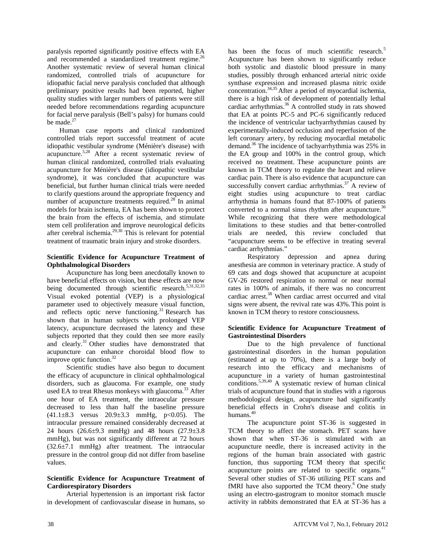paralysis reported significantly positive effects with EA and recommended a standardized treatment regime.<sup>26</sup> Another systematic review of several human clinical randomized, controlled trials of acupuncture for idiopathic facial nerve paralysis concluded that although preliminary positive results had been reported, higher quality studies with larger numbers of patients were still needed before recommendations regarding acupuncture for facial nerve paralysis (Bell's palsy) for humans could be made.<sup>27</sup>

Human case reports and clinical randomized controlled trials report successful treatment of acute idiopathic vestibular syndrome (Ménière's disease) with acupuncture.5,28 After a recent systematic review of human clinical randomized, controlled trials evaluating acupuncture for Ménière's disease (idiopathic vestibular syndrome), it was concluded that acupuncture was beneficial, but further human clinical trials were needed to clarify questions around the appropriate frequency and number of acupuncture treatments required. $28$  In animal models for brain ischemia, EA has been shown to protect the brain from the effects of ischemia, and stimulate stem cell proliferation and improve neurological deficits after cerebral ischemia.29,30 This is relevant for potential treatment of traumatic brain injury and stroke disorders.

#### **Scientific Evidence for Acupuncture Treatment of Ophthalmological Disorders**

 Acupuncture has long been anecdotally known to have beneficial effects on vision, but these effects are now being documented through scientific research. $5,31,32,33$ Visual evoked potential (VEP) is a physiological parameter used to objectively measure visual function, and reflects optic nerve functioning.<sup>31</sup> Research has shown that in human subjects with prolonged VEP latency, acupuncture decreased the latency and these subjects reported that they could then see more easily and clearly.<sup>31</sup> Other studies have demonstrated that acupuncture can enhance choroidal blood flow to improve optic function.<sup>32</sup>

 Scientific studies have also begun to document the efficacy of acupuncture in clinical ophthalmological disorders, such as glaucoma. For example, one study used EA to treat Rhesus monkeys with glaucoma.<sup>33</sup> After one hour of EA treatment, the intraocular pressure decreased to less than half the baseline pressure  $(41.1\pm8.3$  versus  $20.9\pm3.3$  mmHg, p<0.05). The intraocular pressure remained considerably decreased at 24 hours (26.6±9.3 mmHg) and 48 hours (27.9±3.8 mmHg), but was not significantly different at 72 hours (32.6±7.1 mmHg) after treatment. The intraocular pressure in the control group did not differ from baseline values.

#### **Scientific Evidence for Acupuncture Treatment of Cardiorespiratory Disorders**

 Arterial hypertension is an important risk factor in development of cardiovascular disease in humans, so

has been the focus of much scientific research.<sup>5</sup> Acupuncture has been shown to significantly reduce both systolic and diastolic blood pressure in many studies, possibly through enhanced arterial nitric oxide synthase expression and increased plasma nitric oxide concentration.34,35 After a period of myocardial ischemia, there is a high risk of development of potentially lethal cardiac arrhythmias.<sup>36</sup> A controlled study in rats showed that EA at points PC-5 and PC-6 significantly reduced the incidence of ventricular tachyarrhythmias caused by experimentally-induced occlusion and reperfusion of the left coronary artery, by reducing myocardial metabolic demand.36 The incidence of tachyarrhythmia was 25% in the EA group and 100% in the control group, which received no treatment. These acupuncture points are known in TCM theory to regulate the heart and relieve cardiac pain. There is also evidence that acupuncture can successfully convert cardiac arrhythmias. $37$  A review of eight studies using acupuncture to treat cardiac arrhythmia in humans found that 87-100% of patients converted to a normal sinus rhythm after acupuncture.<sup>36</sup> While recognizing that there were methodological limitations to these studies and that better-controlled trials are needed, this review concluded that "acupuncture seems to be effective in treating several cardiac arrhythmias."

Respiratory depression and apnea during anesthesia are common in veterinary practice. A study of 69 cats and dogs showed that acupuncture at acupoint GV-26 restored respiration to normal or near normal rates in 100% of animals, if there was no concurrent cardiac arrest.<sup>38</sup> When cardiac arrest occurred and vital signs were absent, the revival rate was 43%.This point is known in TCM theory to restore consciousness.

#### **Scientific Evidence for Acupuncture Treatment of Gastrointestinal Disorders**

 Due to the high prevalence of functional gastrointestinal disorders in the human population (estimated at up to 70%), there is a large body of research into the efficacy and mechanisms of acupuncture in a variety of human gastrointestinal conditions.5,39,40 A systematic review of human clinical trials of acupuncture found that in studies with a rigorous methodological design, acupuncture had significantly beneficial effects in Crohn's disease and colitis in humans. $40$ 

 The acupuncture point ST-36 is suggested in TCM theory to affect the stomach. PET scans have shown that when ST-36 is stimulated with an acupuncture needle, there is increased activity in the regions of the human brain associated with gastric function, thus supporting TCM theory that specific acupuncture points are related to specific organs. $41$ Several other studies of ST-36 utilizing PET scans and fMRI have also supported the TCM theory. $6$  One study using an electro-gastrogram to monitor stomach muscle activity in rabbits demonstrated that EA at ST-36 has a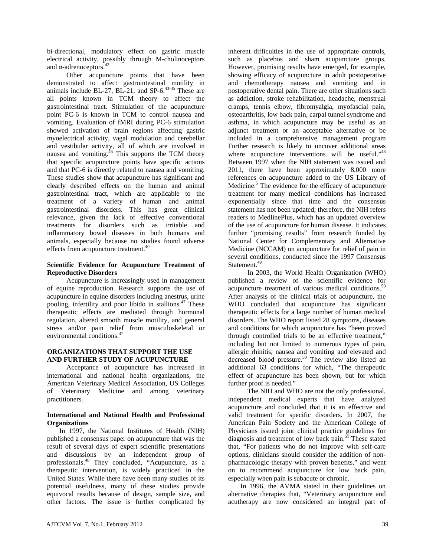bi-directional, modulatory effect on gastric muscle electrical activity, possibly through M-cholinoceptors and α-adrenoceptors.<sup>4</sup>

 Other acupuncture points that have been demonstrated to affect gastrointestinal motility in animals include BL-27, BL-21, and SP-6. $43-45$  These are all points known in TCM theory to affect the gastrointestinal tract. Stimulation of the acupuncture point PC-6 is known in TCM to control nausea and vomiting. Evaluation of fMRI during PC-6 stimulation showed activation of brain regions affecting gastric myoelectrical activity, vagal modulation and cerebellar and vestibular activity, all of which are involved in nausea and vomiting. $^{46}$  This supports the TCM theory that specific acupuncture points have specific actions and that PC-6 is directly related to nausea and vomiting. These studies show that acupuncture has significant and clearly described effects on the human and animal gastrointestinal tract, which are applicable to the treatment of a variety of human and animal gastrointestinal disorders. This has great clinical relevance, given the lack of effective conventional treatments for disorders such as irritable and inflammatory bowel diseases in both humans and animals, especially because no studies found adverse effects from acupuncture treatment.<sup>40</sup>

#### **Scientific Evidence for Acupuncture Treatment of Reproductive Disorders**

 Acupuncture is increasingly used in management of equine reproduction. Research supports the use of acupuncture in equine disorders including anestrus, urine pooling, infertility and poor libido in stallions.<sup>47</sup> These therapeutic effects are mediated through hormonal regulation, altered smooth muscle motility, and general stress and/or pain relief from musculoskeletal or environmental conditions.<sup>47</sup>

#### **ORGANIZATIONS THAT SUPPORT THE USE AND FURTHER STUDY OF ACUPUNCTURE**

Acceptance of acupuncture has increased in international and national health organizations, the American Veterinary Medical Association, US Colleges of Veterinary Medicine and among veterinary practitioners.

#### **International and National Health and Professional Organizations**

In 1997, the National Institutes of Health (NIH) published a consensus paper on acupuncture that was the result of several days of expert scientific presentations and discussions by an independent group of professionals.48 They concluded, "Acupuncture, as a therapeutic intervention, is widely practiced in the United States. While there have been many studies of its potential usefulness, many of these studies provide equivocal results because of design, sample size, and other factors. The issue is further complicated by

inherent difficulties in the use of appropriate controls, such as placebos and sham acupuncture groups. However, promising results have emerged, for example, showing efficacy of acupuncture in adult postoperative and chemotherapy nausea and vomiting and in postoperative dental pain. There are other situations such as addiction, stroke rehabilitation, headache, menstrual cramps, tennis elbow, fibromyalgia, myofascial pain, osteoarthritis, low back pain, carpal tunnel syndrome and asthma, in which acupuncture may be useful as an adjunct treatment or an acceptable alternative or be included in a comprehensive management program Further research is likely to uncover additional areas where acupuncture interventions will be useful."<sup>48</sup> Between 1997 when the NIH statement was issued and 2011, there have been approximately 8,000 more references on acupuncture added to the US Library of Medicine.<sup>5</sup> The evidence for the efficacy of acupuncture treatment for many medical conditions has increased exponentially since that time and the consensus statement has not been updated; therefore, the NIH refers readers to MedlinePlus, which has an updated overview of the use of acupuncture for human disease. It indicates further "promising results" from research funded by National Center for Complementary and Alternative Medicine (NCCAM) on acupuncture for relief of pain in several conditions, conducted since the 1997 Consensus Statement.<sup>49</sup>

 In 2003, the World Health Organization (WHO) published a review of the scientific evidence for acupuncture treatment of various medical conditions.<sup>50</sup> After analysis of the clinical trials of acupuncture, the WHO concluded that acupuncture has significant therapeutic effects for a large number of human medical disorders. The WHO report listed 28 symptoms, diseases and conditions for which acupuncture has "been proved through controlled trials to be an effective treatment," including but not limited to numerous types of pain, allergic rhinitis, nausea and vomiting and elevated and decreased blood pressure.<sup>50</sup> The review also listed an additional 63 conditions for which, "The therapeutic effect of acupuncture has been shown, but for which further proof is needed."

 The NIH and WHO are not the only professional, independent medical experts that have analyzed acupuncture and concluded that it is an effective and valid treatment for specific disorders. In 2007, the American Pain Society and the American College of Physicians issued joint clinical practice guidelines for diagnosis and treatment of low back pain.<sup>51</sup> These stated that, "For patients who do not improve with self-care options, clinicians should consider the addition of nonpharmacologic therapy with proven benefits," and went on to recommend acupuncture for low back pain, especially when pain is subacute or chronic.

In 1996, the AVMA stated in their guidelines on alternative therapies that, "Veterinary acupuncture and acutherapy are now considered an integral part of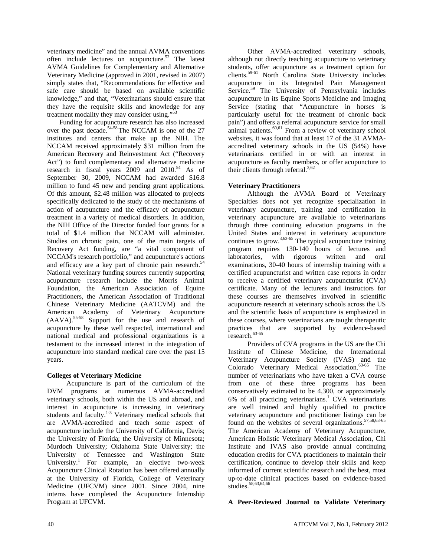veterinary medicine" and the annual AVMA conventions often include lectures on acupuncture.<sup>52</sup> The latest AVMA Guidelines for Complementary and Alternative Veterinary Medicine (approved in 2001, revised in 2007) simply states that, "Recommendations for effective and safe care should be based on available scientific knowledge," and that, "Veterinarians should ensure that they have the requisite skills and knowledge for any treatment modality they may consider using."<sup>53</sup>

Funding for acupuncture research has also increased over the past decade.54-58 The NCCAM is one of the 27 institutes and centers that make up the NIH. The NCCAM received approximately \$31 million from the American Recovery and Reinvestment Act ("Recovery Act") to fund complementary and alternative medicine research in fiscal years  $2009$  and  $2010<sup>54</sup>$  As of September 30, 2009, NCCAM had awarded \$16.8 million to fund 45 new and pending grant applications. Of this amount, \$2.48 million was allocated to projects specifically dedicated to the study of the mechanisms of action of acupuncture and the efficacy of acupuncture treatment in a variety of medical disorders. In addition, the NIH Office of the Director funded four grants for a total of \$1.4 million that NCCAM will administer. Studies on chronic pain, one of the main targets of Recovery Act funding, are "a vital component of NCCAM's research portfolio," and acupuncture's actions and efficacy are a key part of chronic pain research.<sup>54</sup> National veterinary funding sources currently supporting acupuncture research include the Morris Animal Foundation, the American Association of Equine Practitioners, the American Association of Traditional Chinese Veterinary Medicine (AATCVM) and the American Academy of Veterinary Acupuncture (AAVA).55-58 Support for the use and research of acupuncture by these well respected, international and national medical and professional organizations is a testament to the increased interest in the integration of acupuncture into standard medical care over the past 15 years.

## **Colleges of Veterinary Medicine**

 Acupuncture is part of the curriculum of the DVM programs at numerous AVMA-accredited veterinary schools, both within the US and abroad, and interest in acupuncture is increasing in veterinary students and faculty.<sup>1-3</sup> Veterinary medical schools that are AVMA-accredited and teach some aspect of acupuncture include the University of California, Davis; the University of Florida; the University of Minnesota; Murdoch University; Oklahoma State University; the University of Tennessee and Washington State University.<sup>1</sup> For example, an elective two-week Acupuncture Clinical Rotation has been offered annually at the University of Florida, College of Veterinary Medicine (UFCVM) since 2001. Since 2004, nine interns have completed the Acupuncture Internship Program at UFCVM.

 Other AVMA-accredited veterinary schools, although not directly teaching acupuncture to veterinary students, offer acupuncture as a treatment option for clients.59-61 North Carolina State University includes acupuncture in its Integrated Pain Management Service.<sup>59</sup> The University of Pennsylvania includes acupuncture in its Equine Sports Medicine and Imaging Service (stating that "Acupuncture in horses is particularly useful for the treatment of chronic back pain") and offers a referral acupuncture service for small  $\mu$ animal patients.<sup>60,61</sup> From a review of veterinary school websites, it was found that at least 17 of the 31 AVMAaccredited veterinary schools in the US (54%) have veterinarians certified in or with an interest in acupuncture as faculty members, or offer acupuncture to their clients through referral. $3,62$ 

# **Veterinary Practitioners**

 Although the AVMA Board of Veterinary Specialties does not yet recognize specialization in veterinary acupuncture, training and certification in veterinary acupuncture are available to veterinarians through three continuing education programs in the United States and interest in veterinary acupuncture continues to grow.<sup>3,63-65</sup> The typical acupuncture training program requires 130-140 hours of lectures and laboratories, with rigorous written and oral examinations, 30-40 hours of internship training with a certified acupuncturist and written case reports in order to receive a certified veterinary acupuncturist (CVA) certificate. Many of the lecturers and instructors for these courses are themselves involved in scientific acupuncture research at veterinary schools across the US and the scientific basis of acupuncture is emphasized in these courses, where veterinarians are taught therapeutic practices that are supported by evidence-based  $r$ esearch.<sup>63-65</sup>

 Providers of CVA programs in the US are the Chi Institute of Chinese Medicine, the International Veterinary Acupuncture Society (IVAS) and the Colorado Veterinary Medical Association.<sup>63-65</sup> The number of veterinarians who have taken a CVA course from one of these three programs has been conservatively estimated to be 4,300, or approximately  $6\%$  of all practicing veterinarians.<sup>1</sup> CVA veterinarians are well trained and highly qualified to practice veterinary acupuncture and practitioner listings can be found on the websites of several organizations. $57,58,63-65$ The American Academy of Veterinary Acupuncture, American Holistic Veterinary Medical Association, Chi Institute and IVAS also provide annual continuing education credits for CVA practitioners to maintain their certification, continue to develop their skills and keep informed of current scientific research and the best, most up-to-date clinical practices based on evidence-based studies.<sup>58,63,64,66</sup>

## **A Peer-Reviewed Journal to Validate Veterinary**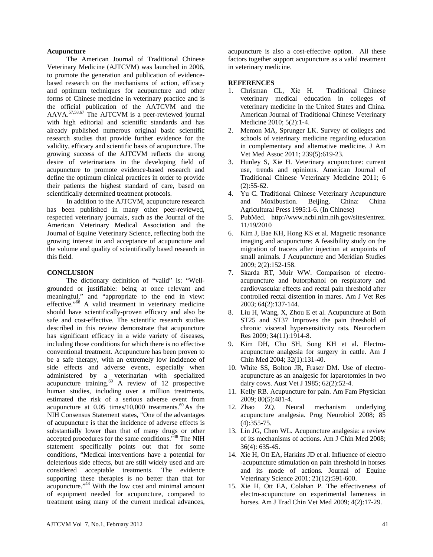#### **Acupuncture**

 The American Journal of Traditional Chinese Veterinary Medicine (AJTCVM) was launched in 2006, to promote the generation and publication of evidencebased research on the mechanisms of action, efficacy and optimum techniques for acupuncture and other forms of Chinese medicine in veterinary practice and is the official publication of the AATCVM and the  $AAVA$ .<sup>57,58,67</sup> The AJTCVM is a peer-reviewed journal with high editorial and scientific standards and has already published numerous original basic scientific research studies that provide further evidence for the validity, efficacy and scientific basis of acupuncture. The growing success of the AJTCVM reflects the strong desire of veterinarians in the developing field of acupuncture to promote evidence-based research and define the optimum clinical practices in order to provide their patients the highest standard of care, based on scientifically determined treatment protocols.

 In addition to the AJTCVM, acupuncture research has been published in many other peer-reviewed, respected veterinary journals, such as the Journal of the American Veterinary Medical Association and the Journal of Equine Veterinary Science, reflecting both the growing interest in and acceptance of acupuncture and the volume and quality of scientifically based research in this field.

#### **CONCLUSION**

 The dictionary definition of "valid" is: "Wellgrounded or justifiable: being at once relevant and meaningful," and "appropriate to the end in view: effective."<sup>68</sup> A valid treatment in veterinary medicine should have scientifically-proven efficacy and also be safe and cost-effective. The scientific research studies described in this review demonstrate that acupuncture has significant efficacy in a wide variety of diseases, including those conditions for which there is no effective conventional treatment. Acupuncture has been proven to be a safe therapy, with an extremely low incidence of side effects and adverse events, especially when administered by a veterinarian with specialized acupuncture training. $69$  A review of 12 prospective human studies, including over a million treatments, estimated the risk of a serious adverse event from acupuncture at  $0.05$  times/10,000 treatments.<sup>69</sup> As the NIH Consensus Statement states, "One of the advantages of acupuncture is that the incidence of adverse effects is substantially lower than that of many drugs or other accepted procedures for the same conditions."48 The NIH statement specifically points out that for some conditions, "Medical interventions have a potential for deleterious side effects, but are still widely used and are considered acceptable treatments. The evidence supporting these therapies is no better than that for acupuncture."48 With the low cost and minimal amount of equipment needed for acupuncture, compared to treatment using many of the current medical advances,

acupuncture is also a cost-effective option. All these factors together support acupuncture as a valid treatment in veterinary medicine.

#### **REFERENCES**

- 1. Chrisman CL, Xie H. Traditional Chinese veterinary medical education in colleges of veterinary medicine in the United States and China. American Journal of Traditional Chinese Veterinary Medicine 2010; 5(2):1-4.
- 2. Memon MA, Sprunger LK. Survey of colleges and schools of veterinary medicine regarding education in complementary and alternative medicine. J Am Vet Med Assoc 2011; 239(5):619-23.
- 3. Hunley S, Xie H. Veterinary acupuncture: current use, trends and opinions. American Journal of Traditional Chinese Veterinary Medicine 2011; 6 (2):55-62.
- 4. Yu C. Traditional Chinese Veterinary Acupuncture and Moxibustion. Beijing, China: China Agricultural Press 1995:1-6. (In Chinese)
- 5. PubMed. http://www.ncbi.nlm.nih.gov/sites/entrez. 11/19/2010
- 6. Kim J, Bae KH, Hong KS et al. Magnetic resonance imaging and acupuncture: A feasibility study on the migration of tracers after injection at acupoints of small animals. J Acupuncture and Meridian Studies 2009; 2(2):152-158.
- 7. Skarda RT, Muir WW. Comparison of electroacupuncture and butorphanol on respiratory and cardiovascular effects and rectal pain threshold after controlled rectal distention in mares. Am J Vet Res 2003; 64(2):137-144.
- 8. Liu H, Wang, X, Zhou E et al. Acupuncture at Both ST25 and ST37 Improves the pain threshold of chronic visceral hypersensitivity rats. Neurochem Res 2009; 34(11):1914-8.
- 9. Kim DH, Cho SH, Song KH et al. Electroacupuncture analgesia for surgery in cattle. Am J Chin Med 2004; 32(1):131-40.
- 10. White SS, Bolton JR, Fraser DM. Use of electroacupuncture as an analgesic for laparotomies in two dairy cows. Aust Vet J 1985; 62(2):52-4.
- 11. Kelly RB. Acupuncture for pain. Am Fam Physician 2009; 80(5):481-4.
- 12. Zhao ZQ. Neural mechanism underlying acupuncture analgesia. Prog Neurobiol 2008; 85 (4):355-75.
- 13. Lin JG, Chen WL. Acupuncture analgesia: a review of its mechanisms of actions. Am J Chin Med 2008; 36(4): 635-45.
- 14. Xie H, Ott EA, Harkins JD et al. Influence of electro -acupuncture stimulation on pain threshold in horses and its mode of actions. Journal of Equine Veterinary Science 2001; 21(12):591-600.
- 15. Xie H, Ott EA, Colahan P. The effectiveness of electro-acupuncture on experimental lameness in horses. Am J Trad Chin Vet Med 2009; 4(2):17-29.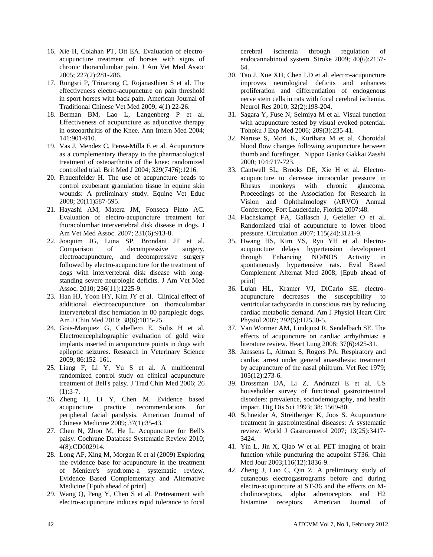- 16. Xie H, Colahan PT, Ott EA. Evaluation of electroacupuncture treatment of horses with signs of chronic thoracolumbar pain. J Am Vet Med Assoc 2005; 227(2):281-286.
- 17. Rungsri P, Trinarong C, Rojanasthien S et al. The effectiveness electro-acupuncture on pain threshold in sport horses with back pain. American Journal of Traditional Chinese Vet Med 2009; 4(1) 22-26.
- 18. Berman BM, Lao L, Langenberg P et al. Effectiveness of acupuncture as adjunctive therapy in osteoarthritis of the Knee. Ann Intern Med 2004; 141:901-910.
- 19. Vas J, Mendez C, Perea-Milla E et al. Acupuncture as a complementary therapy to the pharmacological treatment of osteoarthritis of the knee: randomized controlled trial. Brit Med J 2004; 329(7476):1216.
- 20. Frauenfelder H. The use of acupuncture beads to control exuberant granulation tissue in equine skin wounds: A preliminary study. Equine Vet Educ 2008; 20(11)587-595.
- 21. Hayashi AM, Matera JM, Fonseca Pinto AC. Evaluation of electro-acupuncture treatment for thoracolumbar intervertebral disk disease in dogs. J Am Vet Med Assoc. 2007; 231(6):913-8.
- 22. Joaquim JG, Luna SP, Brondani JT et al. Comparison of decompressive surgery, electroacupuncture, and decompressive surgery followed by electro-acupuncture for the treatment of dogs with intervertebral disk disease with longstanding severe neurologic deficits. J Am Vet Med Assoc. 2010; 236(11):1225-9.
- 23. Han HJ, Yoon HY, Kim JY et al. Clinical effect of additional electroacupuncture on thoracolumbar intervertebral disc herniation in 80 paraplegic dogs. Am J Chin Med 2010; 38(6):1015-25.
- 24. Gois-Marquez G, Cabellero E, Solis H et al. Electroencephalographic evaluation of gold wire implants inserted in acupuncture points in dogs with epileptic seizures. Research in Veterinary Science 2009; 86:152–161.
- 25. Liang F, Li Y, Yu S et al. A multicentral randomized control study on clinical acupuncture treatment of Bell's palsy. J Trad Chin Med 2006; 26  $(1):3-7.$
- 26. Zheng H, Li Y, Chen M. Evidence based acupuncture practice recommendations for peripheral facial paralysis. American Journal of Chinese Medicine 2009; 37(1):35-43.
- 27. Chen N, Zhou M, He L. Acupuncture for Bell's palsy. Cochrane Database Systematic Review 2010; 4(8):CD002914.
- 28. Long AF, Xing M, Morgan K et al (2009) Exploring the evidence base for acupuncture in the treatment of Meniere's syndrome-a systematic review. Evidence Based Complementary and Alternative Medicine [Epub ahead of print]
- 29. Wang Q, Peng Y, Chen S et al. Pretreatment with electro-acupuncture induces rapid tolerance to focal

cerebral ischemia through regulation of endocannabinoid system. Stroke 2009; 40(6):2157- 64.

- 30. Tao J, Xue XH, Chen LD et al. electro-acupuncture improves neurological deficits and enhances proliferation and differentiation of endogenous nerve stem cells in rats with focal cerebral ischemia. Neurol Res 2010; 32(2):198-204.
- 31. Sagara Y, Fuse N, Seimiya M et al. Visual function with acupuncture tested by visual evoked potential. Tohoku J Exp Med 2006; 209(3):235-41.
- 32. Naruse S, Mori K, Kurihara M et al. Choroidal blood flow changes following acupuncture between thumb and forefinger. Nippon Ganka Gakkai Zasshi 2000; 104:717-723.
- 33. Cantwell SL, Brooks DE, Xie H et al. Electroacupuncture to decrease intraocular pressure in Rhesus monkeys with chronic glaucoma. Proceedings of the Association for Research in Vision and Ophthalmology (ARVO) Annual Conference, Fort Lauderdale, Florida 2007:48.
- 34. Flachskampf FA, Gallasch J, Gefeller O et al. Randomized trial of acupuncture to lower blood pressure. Circulation 2007; 115(24):3121-9.
- 35. Hwang HS, Kim YS, Ryu YH et al. Electroacupuncture delays hypertension development<br>through Enhancing NO/NOS Activity in through Enhancing NO/NOS Activity in spontaneously hypertensive rats. Evid Based Complement Alternat Med 2008; [Epub ahead of print]
- 36. Lujan HL, Kramer VJ, DiCarlo SE. electroacupuncture decreases the susceptibility to ventricular tachycardia in conscious rats by reducing cardiac metabolic demand. Am J Physiol Heart Circ Physiol 2007; 292(5):H2550-5.
- 37. Van Wormer AM, Lindquist R, Sendelbach SE. The effects of acupuncture on cardiac arrhythmias: a literature review. Heart Lung 2008; 37(6):425-31.
- 38. Janssens L, Altman S, Rogers PA. Respiratory and cardiac arrest under general anaesthesia: treatment by acupuncture of the nasal philtrum. Vet Rec 1979;  $105(12):273-6.$
- 39. Drossman DA, Li Z, Andruzzi E et al. US householder survey of functional gastrointestinal disorders: prevalence, sociodemography, and health impact. Dig Dis Sci 1993; 38: 1569-80.
- 40. Schneider A, Streitberger K, Joos S. Acupuncture treatment in gastrointestinal diseases: A systematic review. World J Gastroenterol 2007; 13(25):3417- 3424.
- 41. Yin L, Jin X, Qiao W et al. PET imaging of brain function while puncturing the acupoint ST36. Chin Med Jour 2003;116(12):1836-9.
- 42. Zheng J, Luo C, Qin Z. A preliminary study of cutaneous electrogastrograms before and during electro-acupuncture at ST-36 and the effects on Mcholinoceptors, alpha adrenoceptors and H2 histamine receptors. American Journal of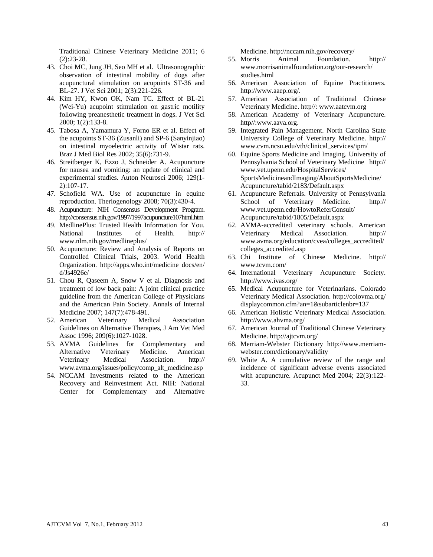Traditional Chinese Veterinary Medicine 2011; 6 (2):23-28.

- 43. Choi MC, Jung JH, Seo MH et al. Ultrasonographic observation of intestinal mobility of dogs after acupunctural stimulation on acupoints ST-36 and BL-27. J Vet Sci 2001; 2(3):221-226.
- 44. Kim HY, Kwon OK, Nam TC. Effect of BL-21 (Wei-Yu) acupoint stimulation on gastric motility following preanesthetic treatment in dogs. J Vet Sci 2000; 1(2):133-8.
- 45. Tabosa A, Yamamura Y, Forno ER et al. Effect of the acupoints ST-36 (Zusanli) and SP-6 (Sanyinjiao) on intestinal myoelectric activity of Wistar rats. Braz J Med Biol Res 2002; 35(6):731-9.
- 46. Streitberger K, Ezzo J, Schneider A. Acupuncture for nausea and vomiting: an update of clinical and experimental studies. Auton Neurosci 2006; 129(1- 2):107-17.
- 47. Schofield WA. Use of acupuncture in equine reproduction. Theriogenology 2008; 70(3):430-4.
- 48. Acupuncture: NIH Consensus Development Program. http://consensus.nih.gov/1997/1997acupuncture107html.htm
- 49. MedlinePlus: Trusted Health Information for You. National Institutes of Health. http:// www.nlm.nih.gov/medlineplus/
- 50. Acupuncture: Review and Analysis of Reports on Controlled Clinical Trials, 2003. World Health Organization. http://apps.who.int/medicine docs/en/ d/Js4926e/
- 51. Chou R, Qaseem A, Snow V et al. Diagnosis and treatment of low back pain: A joint clinical practice guideline from the American College of Physicians and the American Pain Society. Annals of Internal Medicine 2007; 147(7):478-491.<br>American Veterinary Medical
- 52. American Veterinary Medical Association Guidelines on Alternative Therapies, J Am Vet Med Assoc 1996; 209(6):1027-1028.
- 53. AVMA Guidelines for Complementary and Alternative Veterinary Medicine. American Veterinary Medical Association. http:// www.avma.org/issues/policy/comp\_alt\_medicine.asp
- 54. NCCAM Investments related to the American Recovery and Reinvestment Act. NIH: National Center for Complementary and Alternative

Medicine. http://nccam.nih.gov/recovery/

- 55. Morris Animal Foundation. http:// www.morrisanimalfoundation.org/our-research/ studies.html
- 56. American Association of Equine Practitioners. http://www.aaep.org/.
- 57. American Association of Traditional Chinese Veterinary Medicine. http//: www.aatcvm.org
- 58. American Academy of Veterinary Acupuncture. http//:www.aava.org.
- 59. Integrated Pain Management. North Carolina State University College of Veterinary Medicine. http:// www.cvm.ncsu.edu/vth/clinical\_services/ipm/
- 60. Equine Sports Medicine and Imaging. University of Pennsylvania School of Veterinary Medicine http:// www.vet.upenn.edu/HospitalServices/ SportsMedicineandImaging/AboutSportsMedicine/ Acupuncture/tabid/2183/Default.aspx
- 61. Acupuncture Referrals. University of Pennsylvania School of Veterinary Medicine. http:// www.vet.upenn.edu/HowtoReferConsult/ Acupuncture/tabid/1805/Default.aspx
- 62. AVMA-accredited veterinary schools. American Veterinary Medical Association. http:// www.avma.org/education/cvea/colleges\_accredited/ colleges\_accredited.asp
- 63. Chi Institute of Chinese Medicine. http:// www.tcvm.com/
- 64. International Veterinary Acupuncture Society. http://www.ivas.org/
- 65. Medical Acupuncture for Veterinarians. Colorado Veterinary Medical Association. http://colovma.org/ displaycommon.cfm?an=1&subarticlenbr=137
- 66. American Holistic Veterinary Medical Association. http://www.ahvma.org/
- 67. American Journal of Traditional Chinese Veterinary Medicine. http://ajtcvm.org/
- 68. Merriam-Webster Dictionary http://www.merriamwebster.com/dictionary/validity
- 69. White A. A cumulative review of the range and incidence of significant adverse events associated with acupuncture. Acupunct Med 2004; 22(3):122- 33.